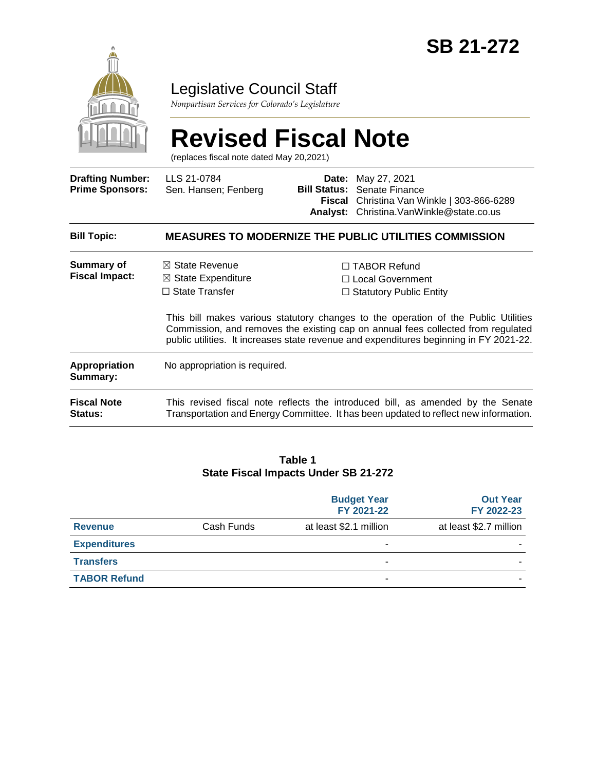

### Legislative Council Staff

*Nonpartisan Services for Colorado's Legislature*

# **Revised Fiscal Note**

(replaces fiscal note dated May 20,2021)

| <b>Drafting Number:</b><br><b>Prime Sponsors:</b> | LLS 21-0784<br>Sen. Hansen; Fenberg                                                                                                                                     | <b>Bill Status:</b> | <b>Date:</b> May 27, 2021<br>Senate Finance<br><b>Fiscal</b> Christina Van Winkle   303-866-6289<br>Analyst: Christina. VanWinkle@state.co.us                                                                                                                                                                                                        |  |  |
|---------------------------------------------------|-------------------------------------------------------------------------------------------------------------------------------------------------------------------------|---------------------|------------------------------------------------------------------------------------------------------------------------------------------------------------------------------------------------------------------------------------------------------------------------------------------------------------------------------------------------------|--|--|
| <b>Bill Topic:</b>                                | <b>MEASURES TO MODERNIZE THE PUBLIC UTILITIES COMMISSION</b>                                                                                                            |                     |                                                                                                                                                                                                                                                                                                                                                      |  |  |
| Summary of<br><b>Fiscal Impact:</b>               | $\boxtimes$ State Revenue<br>$\boxtimes$ State Expenditure<br>$\Box$ State Transfer                                                                                     |                     | $\Box$ TABOR Refund<br>$\Box$ Local Government<br>$\Box$ Statutory Public Entity<br>This bill makes various statutory changes to the operation of the Public Utilities<br>Commission, and removes the existing cap on annual fees collected from regulated<br>public utilities. It increases state revenue and expenditures beginning in FY 2021-22. |  |  |
| Appropriation<br>Summary:                         | No appropriation is required.                                                                                                                                           |                     |                                                                                                                                                                                                                                                                                                                                                      |  |  |
| <b>Fiscal Note</b><br>Status:                     | This revised fiscal note reflects the introduced bill, as amended by the Senate<br>Transportation and Energy Committee. It has been updated to reflect new information. |                     |                                                                                                                                                                                                                                                                                                                                                      |  |  |

#### **Table 1 State Fiscal Impacts Under SB 21-272**

|                     |            | <b>Budget Year</b><br>FY 2021-22 | <b>Out Year</b><br>FY 2022-23 |
|---------------------|------------|----------------------------------|-------------------------------|
| <b>Revenue</b>      | Cash Funds | at least \$2.1 million           | at least \$2.7 million        |
| <b>Expenditures</b> |            |                                  |                               |
| <b>Transfers</b>    |            | -                                |                               |
| <b>TABOR Refund</b> |            | -                                |                               |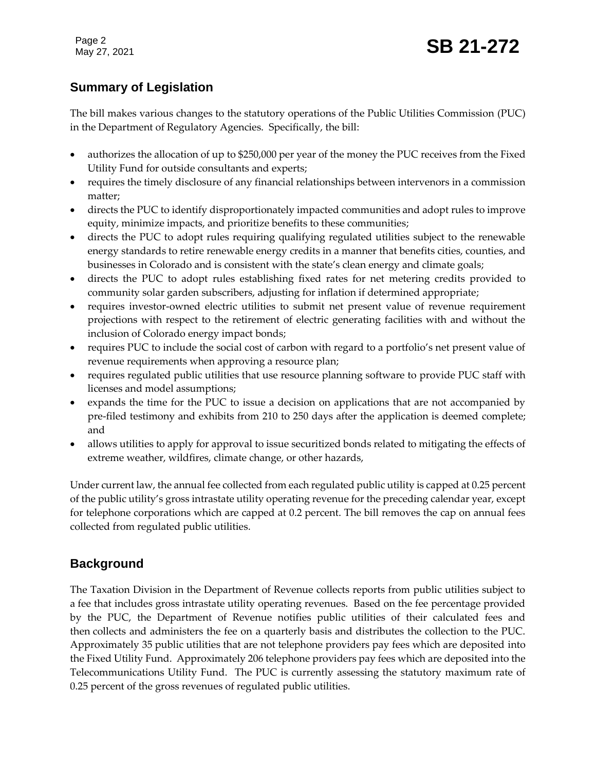Page 2

### **Summary of Legislation**

The bill makes various changes to the statutory operations of the Public Utilities Commission (PUC) in the Department of Regulatory Agencies. Specifically, the bill:

- authorizes the allocation of up to \$250,000 per year of the money the PUC receives from the Fixed Utility Fund for outside consultants and experts;
- requires the timely disclosure of any financial relationships between intervenors in a commission matter;
- directs the PUC to identify disproportionately impacted communities and adopt rules to improve equity, minimize impacts, and prioritize benefits to these communities;
- directs the PUC to adopt rules requiring qualifying regulated utilities subject to the renewable energy standards to retire renewable energy credits in a manner that benefits cities, counties, and businesses in Colorado and is consistent with the state's clean energy and climate goals;
- directs the PUC to adopt rules establishing fixed rates for net metering credits provided to community solar garden subscribers, adjusting for inflation if determined appropriate;
- requires investor-owned electric utilities to submit net present value of revenue requirement projections with respect to the retirement of electric generating facilities with and without the inclusion of Colorado energy impact bonds;
- requires PUC to include the social cost of carbon with regard to a portfolio's net present value of revenue requirements when approving a resource plan;
- requires regulated public utilities that use resource planning software to provide PUC staff with licenses and model assumptions;
- expands the time for the PUC to issue a decision on applications that are not accompanied by pre-filed testimony and exhibits from 210 to 250 days after the application is deemed complete; and
- allows utilities to apply for approval to issue securitized bonds related to mitigating the effects of extreme weather, wildfires, climate change, or other hazards,

Under current law, the annual fee collected from each regulated public utility is capped at 0.25 percent of the public utility's gross intrastate utility operating revenue for the preceding calendar year, except for telephone corporations which are capped at 0.2 percent. The bill removes the cap on annual fees collected from regulated public utilities.

### **Background**

The Taxation Division in the Department of Revenue collects reports from public utilities subject to a fee that includes gross intrastate utility operating revenues. Based on the fee percentage provided by the PUC, the Department of Revenue notifies public utilities of their calculated fees and then collects and administers the fee on a quarterly basis and distributes the collection to the PUC. Approximately 35 public utilities that are not telephone providers pay fees which are deposited into the Fixed Utility Fund. Approximately 206 telephone providers pay fees which are deposited into the Telecommunications Utility Fund. The PUC is currently assessing the statutory maximum rate of 0.25 percent of the gross revenues of regulated public utilities.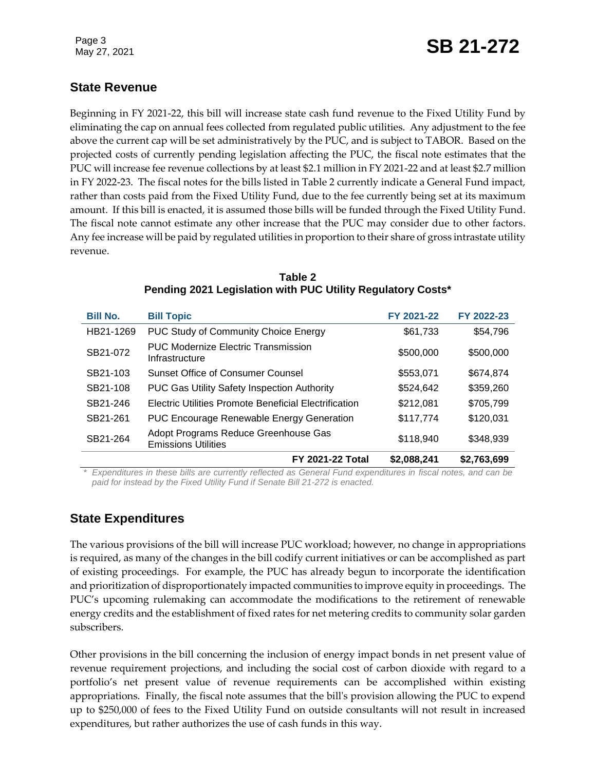## Page 3<br>May 27, 2021 **SB 21-272**

### **State Revenue**

Beginning in FY 2021-22, this bill will increase state cash fund revenue to the Fixed Utility Fund by eliminating the cap on annual fees collected from regulated public utilities. Any adjustment to the fee above the current cap will be set administratively by the PUC, and is subject to TABOR. Based on the projected costs of currently pending legislation affecting the PUC, the fiscal note estimates that the PUC will increase fee revenue collections by at least \$2.1 million in FY 2021-22 and at least \$2.7 million in FY 2022-23. The fiscal notes for the bills listed in Table 2 currently indicate a General Fund impact, rather than costs paid from the Fixed Utility Fund, due to the fee currently being set at its maximum amount. If this bill is enacted, it is assumed those bills will be funded through the Fixed Utility Fund. The fiscal note cannot estimate any other increase that the PUC may consider due to other factors. Any fee increase will be paid by regulated utilities in proportion to their share of gross intrastate utility revenue.

| <b>Bill No.</b> | <b>Bill Topic</b>                                                  | FY 2021-22  | FY 2022-23  |
|-----------------|--------------------------------------------------------------------|-------------|-------------|
| HB21-1269       | <b>PUC Study of Community Choice Energy</b>                        | \$61,733    | \$54,796    |
| SB21-072        | <b>PUC Modernize Electric Transmission</b><br>Infrastructure       | \$500,000   | \$500,000   |
| SB21-103        | <b>Sunset Office of Consumer Counsel</b>                           | \$553,071   | \$674,874   |
| SB21-108        | <b>PUC Gas Utility Safety Inspection Authority</b>                 | \$524,642   | \$359,260   |
| SB21-246        | Electric Utilities Promote Beneficial Electrification              | \$212,081   | \$705,799   |
| SB21-261        | <b>PUC Encourage Renewable Energy Generation</b>                   | \$117,774   | \$120,031   |
| SB21-264        | Adopt Programs Reduce Greenhouse Gas<br><b>Emissions Utilities</b> | \$118,940   | \$348,939   |
|                 | <b>FY 2021-22 Total</b>                                            | \$2,088,241 | \$2,763,699 |

**Table 2 Pending 2021 Legislation with PUC Utility Regulatory Costs\***

*\* Expenditures in these bills are currently reflected as General Fund expenditures in fiscal notes, and can be paid for instead by the Fixed Utility Fund if Senate Bill 21-272 is enacted.*

### **State Expenditures**

The various provisions of the bill will increase PUC workload; however, no change in appropriations is required, as many of the changes in the bill codify current initiatives or can be accomplished as part of existing proceedings. For example, the PUC has already begun to incorporate the identification and prioritization of disproportionately impacted communities to improve equity in proceedings. The PUC's upcoming rulemaking can accommodate the modifications to the retirement of renewable energy credits and the establishment of fixed rates for net metering credits to community solar garden subscribers.

Other provisions in the bill concerning the inclusion of energy impact bonds in net present value of revenue requirement projections, and including the social cost of carbon dioxide with regard to a portfolio's net present value of revenue requirements can be accomplished within existing appropriations. Finally, the fiscal note assumes that the bill's provision allowing the PUC to expend up to \$250,000 of fees to the Fixed Utility Fund on outside consultants will not result in increased expenditures, but rather authorizes the use of cash funds in this way.